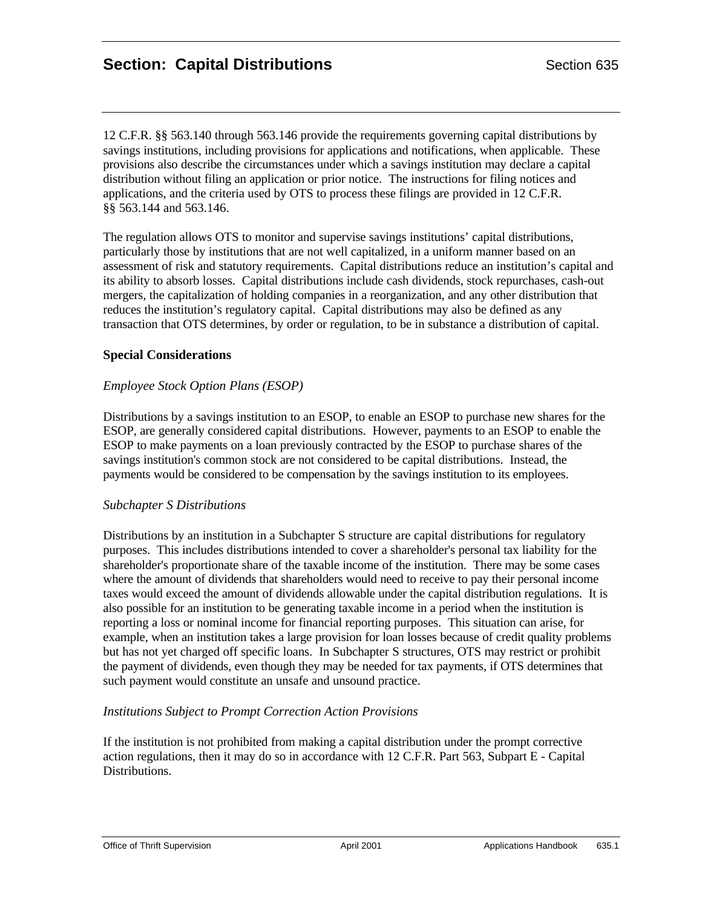12 C.F.R. §§ 563.140 through 563.146 provide the requirements governing capital distributions by savings institutions, including provisions for applications and notifications, when applicable. These provisions also describe the circumstances under which a savings institution may declare a capital distribution without filing an application or prior notice. The instructions for filing notices and applications, and the criteria used by OTS to process these filings are provided in 12 C.F.R. §§ 563.144 and 563.146.

The regulation allows OTS to monitor and supervise savings institutions' capital distributions, particularly those by institutions that are not well capitalized, in a uniform manner based on an assessment of risk and statutory requirements. Capital distributions reduce an institution's capital and its ability to absorb losses. Capital distributions include cash dividends, stock repurchases, cash-out mergers, the capitalization of holding companies in a reorganization, and any other distribution that reduces the institution's regulatory capital. Capital distributions may also be defined as any transaction that OTS determines, by order or regulation, to be in substance a distribution of capital.

### **Special Considerations**

### *Employee Stock Option Plans (ESOP)*

Distributions by a savings institution to an ESOP, to enable an ESOP to purchase new shares for the ESOP, are generally considered capital distributions. However, payments to an ESOP to enable the ESOP to make payments on a loan previously contracted by the ESOP to purchase shares of the savings institution's common stock are not considered to be capital distributions. Instead, the payments would be considered to be compensation by the savings institution to its employees.

#### *Subchapter S Distributions*

Distributions by an institution in a Subchapter S structure are capital distributions for regulatory purposes. This includes distributions intended to cover a shareholder's personal tax liability for the shareholder's proportionate share of the taxable income of the institution. There may be some cases where the amount of dividends that shareholders would need to receive to pay their personal income taxes would exceed the amount of dividends allowable under the capital distribution regulations. It is also possible for an institution to be generating taxable income in a period when the institution is reporting a loss or nominal income for financial reporting purposes. This situation can arise, for example, when an institution takes a large provision for loan losses because of credit quality problems but has not yet charged off specific loans. In Subchapter S structures, OTS may restrict or prohibit the payment of dividends, even though they may be needed for tax payments, if OTS determines that such payment would constitute an unsafe and unsound practice.

### *Institutions Subject to Prompt Correction Action Provisions*

If the institution is not prohibited from making a capital distribution under the prompt corrective action regulations, then it may do so in accordance with 12 C.F.R. Part 563, Subpart E - Capital Distributions.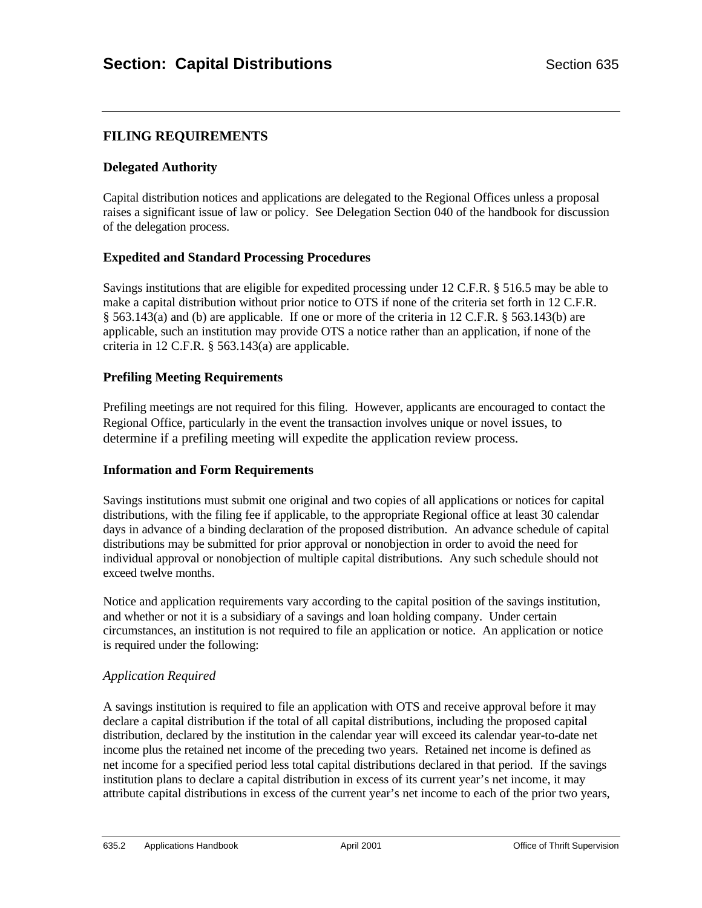# **FILING REQUIREMENTS**

### **Delegated Authority**

Capital distribution notices and applications are delegated to the Regional Offices unless a proposal raises a significant issue of law or policy. See Delegation Section 040 of the handbook for discussion of the delegation process.

### **Expedited and Standard Processing Procedures**

Savings institutions that are eligible for expedited processing under 12 C.F.R. § 516.5 may be able to make a capital distribution without prior notice to OTS if none of the criteria set forth in 12 C.F.R. § 563.143(a) and (b) are applicable. If one or more of the criteria in 12 C.F.R. § 563.143(b) are applicable, such an institution may provide OTS a notice rather than an application, if none of the criteria in 12 C.F.R. § 563.143(a) are applicable.

### **Prefiling Meeting Requirements**

Prefiling meetings are not required for this filing. However, applicants are encouraged to contact the Regional Office, particularly in the event the transaction involves unique or novel issues, to determine if a prefiling meeting will expedite the application review process.

### **Information and Form Requirements**

Savings institutions must submit one original and two copies of all applications or notices for capital distributions, with the filing fee if applicable, to the appropriate Regional office at least 30 calendar days in advance of a binding declaration of the proposed distribution. An advance schedule of capital distributions may be submitted for prior approval or nonobjection in order to avoid the need for individual approval or nonobjection of multiple capital distributions. Any such schedule should not exceed twelve months.

Notice and application requirements vary according to the capital position of the savings institution, and whether or not it is a subsidiary of a savings and loan holding company. Under certain circumstances, an institution is not required to file an application or notice. An application or notice is required under the following:

### *Application Required*

A savings institution is required to file an application with OTS and receive approval before it may declare a capital distribution if the total of all capital distributions, including the proposed capital distribution, declared by the institution in the calendar year will exceed its calendar year-to-date net income plus the retained net income of the preceding two years. Retained net income is defined as net income for a specified period less total capital distributions declared in that period. If the savings institution plans to declare a capital distribution in excess of its current year's net income, it may attribute capital distributions in excess of the current year's net income to each of the prior two years,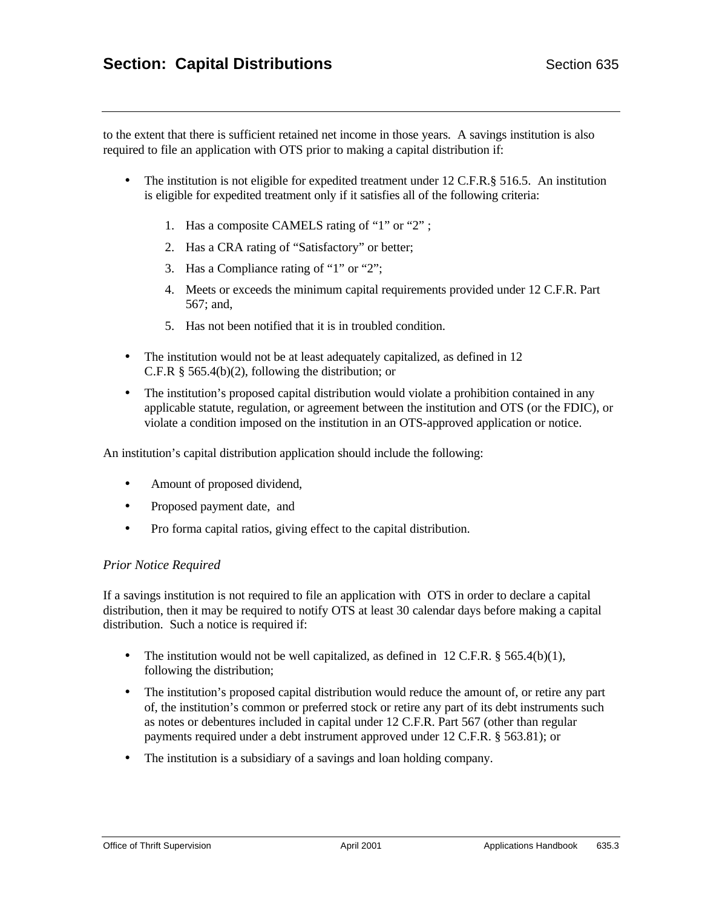to the extent that there is sufficient retained net income in those years. A savings institution is also required to file an application with OTS prior to making a capital distribution if:

- The institution is not eligible for expedited treatment under 12 C.F.R. § 516.5. An institution is eligible for expedited treatment only if it satisfies all of the following criteria:
	- 1. Has a composite CAMELS rating of "1" or "2" ;
	- 2. Has a CRA rating of "Satisfactory" or better;
	- 3. Has a Compliance rating of "1" or "2";
	- 4. Meets or exceeds the minimum capital requirements provided under 12 C.F.R. Part 567; and,
	- 5. Has not been notified that it is in troubled condition.
- The institution would not be at least adequately capitalized, as defined in 12 C.F.R § 565.4(b)(2), following the distribution; or
- The institution's proposed capital distribution would violate a prohibition contained in any applicable statute, regulation, or agreement between the institution and OTS (or the FDIC), or violate a condition imposed on the institution in an OTS-approved application or notice.

An institution's capital distribution application should include the following:

- Amount of proposed dividend,
- Proposed payment date, and
- Pro forma capital ratios, giving effect to the capital distribution.

#### *Prior Notice Required*

If a savings institution is not required to file an application with OTS in order to declare a capital distribution, then it may be required to notify OTS at least 30 calendar days before making a capital distribution. Such a notice is required if:

- The institution would not be well capitalized, as defined in 12 C.F.R.  $\S$  565.4(b)(1), following the distribution;
- The institution's proposed capital distribution would reduce the amount of, or retire any part of, the institution's common or preferred stock or retire any part of its debt instruments such as notes or debentures included in capital under 12 C.F.R. Part 567 (other than regular payments required under a debt instrument approved under 12 C.F.R. § 563.81); or
- The institution is a subsidiary of a savings and loan holding company.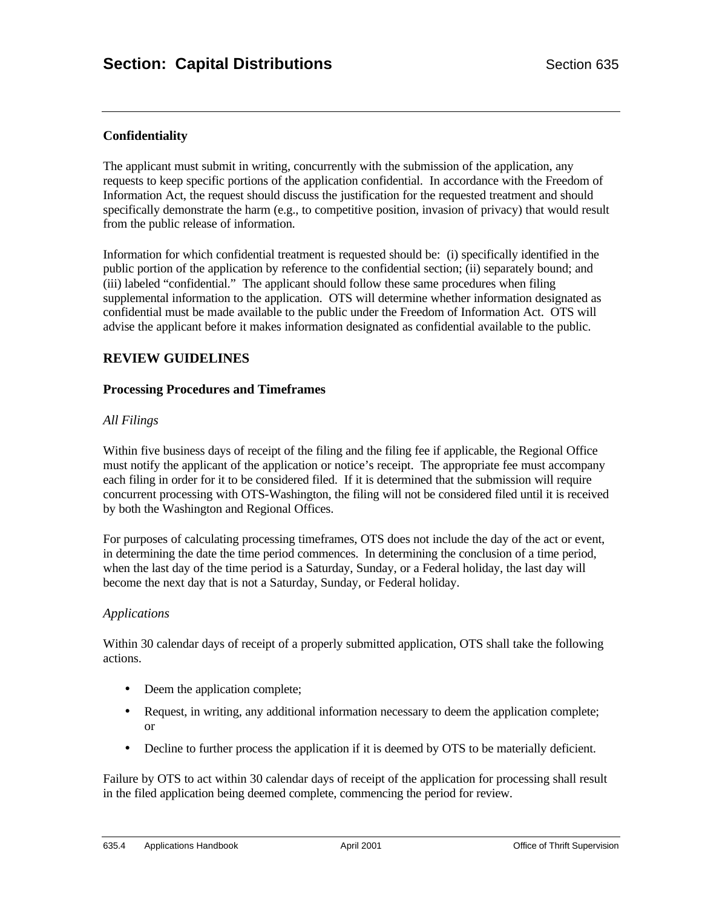# **Confidentiality**

The applicant must submit in writing, concurrently with the submission of the application, any requests to keep specific portions of the application confidential. In accordance with the Freedom of Information Act, the request should discuss the justification for the requested treatment and should specifically demonstrate the harm (e.g., to competitive position, invasion of privacy) that would result from the public release of information.

Information for which confidential treatment is requested should be: (i) specifically identified in the public portion of the application by reference to the confidential section; (ii) separately bound; and (iii) labeled "confidential." The applicant should follow these same procedures when filing supplemental information to the application. OTS will determine whether information designated as confidential must be made available to the public under the Freedom of Information Act. OTS will advise the applicant before it makes information designated as confidential available to the public.

## **REVIEW GUIDELINES**

#### **Processing Procedures and Timeframes**

### *All Filings*

Within five business days of receipt of the filing and the filing fee if applicable, the Regional Office must notify the applicant of the application or notice's receipt. The appropriate fee must accompany each filing in order for it to be considered filed. If it is determined that the submission will require concurrent processing with OTS-Washington, the filing will not be considered filed until it is received by both the Washington and Regional Offices.

For purposes of calculating processing timeframes, OTS does not include the day of the act or event, in determining the date the time period commences. In determining the conclusion of a time period, when the last day of the time period is a Saturday, Sunday, or a Federal holiday, the last day will become the next day that is not a Saturday, Sunday, or Federal holiday.

### *Applications*

Within 30 calendar days of receipt of a properly submitted application, OTS shall take the following actions.

- Deem the application complete;
- Request, in writing, any additional information necessary to deem the application complete; or
- Decline to further process the application if it is deemed by OTS to be materially deficient.

Failure by OTS to act within 30 calendar days of receipt of the application for processing shall result in the filed application being deemed complete, commencing the period for review.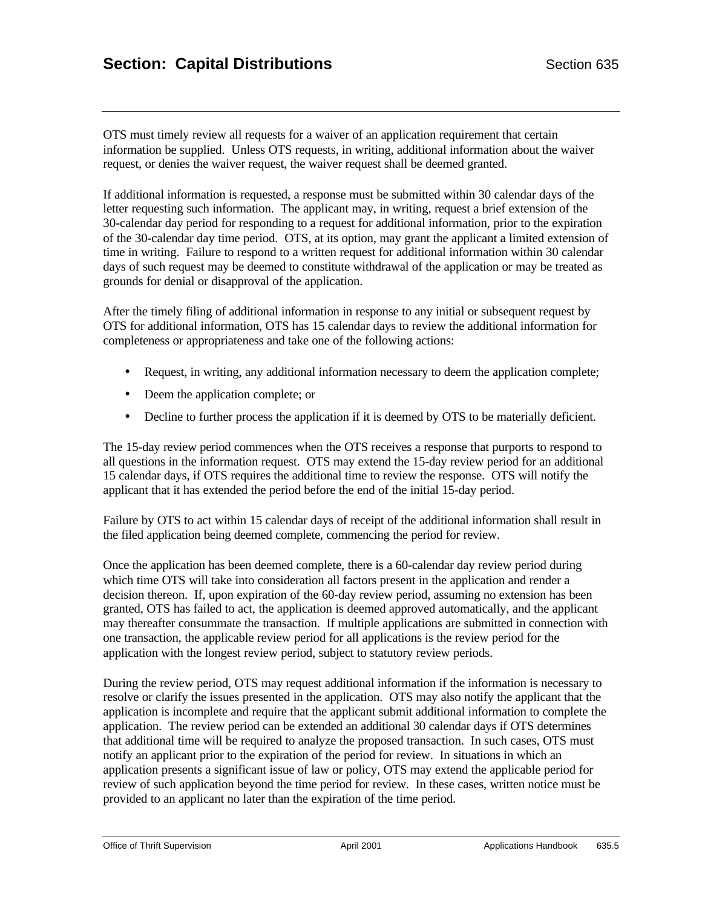OTS must timely review all requests for a waiver of an application requirement that certain information be supplied. Unless OTS requests, in writing, additional information about the waiver request, or denies the waiver request, the waiver request shall be deemed granted.

If additional information is requested, a response must be submitted within 30 calendar days of the letter requesting such information. The applicant may, in writing, request a brief extension of the 30-calendar day period for responding to a request for additional information, prior to the expiration of the 30-calendar day time period. OTS, at its option, may grant the applicant a limited extension of time in writing. Failure to respond to a written request for additional information within 30 calendar days of such request may be deemed to constitute withdrawal of the application or may be treated as grounds for denial or disapproval of the application.

After the timely filing of additional information in response to any initial or subsequent request by OTS for additional information, OTS has 15 calendar days to review the additional information for completeness or appropriateness and take one of the following actions:

- Request, in writing, any additional information necessary to deem the application complete;
- Deem the application complete; or
- Decline to further process the application if it is deemed by OTS to be materially deficient.

The 15-day review period commences when the OTS receives a response that purports to respond to all questions in the information request. OTS may extend the 15-day review period for an additional 15 calendar days, if OTS requires the additional time to review the response. OTS will notify the applicant that it has extended the period before the end of the initial 15-day period.

Failure by OTS to act within 15 calendar days of receipt of the additional information shall result in the filed application being deemed complete, commencing the period for review.

Once the application has been deemed complete, there is a 60-calendar day review period during which time OTS will take into consideration all factors present in the application and render a decision thereon. If, upon expiration of the 60-day review period, assuming no extension has been granted, OTS has failed to act, the application is deemed approved automatically, and the applicant may thereafter consummate the transaction. If multiple applications are submitted in connection with one transaction, the applicable review period for all applications is the review period for the application with the longest review period, subject to statutory review periods.

During the review period, OTS may request additional information if the information is necessary to resolve or clarify the issues presented in the application. OTS may also notify the applicant that the application is incomplete and require that the applicant submit additional information to complete the application. The review period can be extended an additional 30 calendar days if OTS determines that additional time will be required to analyze the proposed transaction. In such cases, OTS must notify an applicant prior to the expiration of the period for review. In situations in which an application presents a significant issue of law or policy, OTS may extend the applicable period for review of such application beyond the time period for review. In these cases, written notice must be provided to an applicant no later than the expiration of the time period.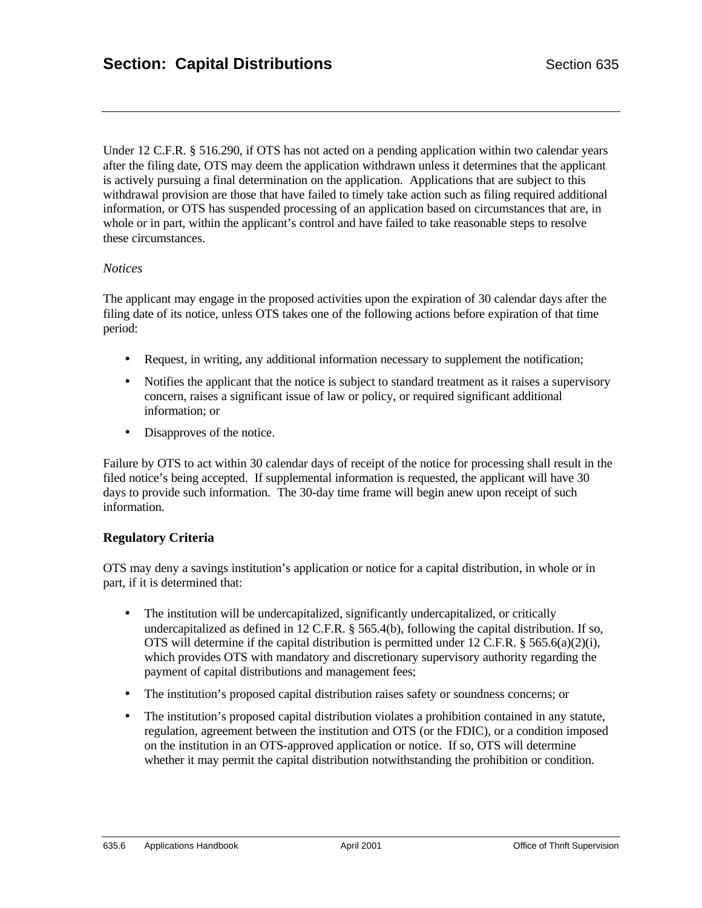Under 12 C.F.R. § 516.290, if OTS has not acted on a pending application within two calendar years after the filing date, OTS may deem the application withdrawn unless it determines that the applicant is actively pursuing a final determination on the application. Applications that are subject to this withdrawal provision are those that have failed to timely take action such as filing required additional information, or OTS has suspended processing of an application based on circumstances that are, in whole or in part, within the applicant's control and have failed to take reasonable steps to resolve these circumstances.

#### *Notices*

The applicant may engage in the proposed activities upon the expiration of 30 calendar days after the filing date of its notice, unless OTS takes one of the following actions before expiration of that time period:

- Request, in writing, any additional information necessary to supplement the notification;
- Notifies the applicant that the notice is subject to standard treatment as it raises a supervisory concern, raises a significant issue of law or policy, or required significant additional information; or
- Disapproves of the notice.

Failure by OTS to act within 30 calendar days of receipt of the notice for processing shall result in the filed notice's being accepted. If supplemental information is requested, the applicant will have 30 days to provide such information. The 30-day time frame will begin anew upon receipt of such information.

### **Regulatory Criteria**

OTS may deny a savings institution's application or notice for a capital distribution, in whole or in part, if it is determined that:

- The institution will be undercapitalized, significantly undercapitalized, or critically undercapitalized as defined in 12 C.F.R. § 565.4(b), following the capital distribution. If so, OTS will determine if the capital distribution is permitted under 12 C.F.R. § 565.6(a)(2)(i), which provides OTS with mandatory and discretionary supervisory authority regarding the payment of capital distributions and management fees;
- The institution's proposed capital distribution raises safety or soundness concerns; or
- The institution's proposed capital distribution violates a prohibition contained in any statute, regulation, agreement between the institution and OTS (or the FDIC), or a condition imposed on the institution in an OTS-approved application or notice. If so, OTS will determine whether it may permit the capital distribution notwithstanding the prohibition or condition.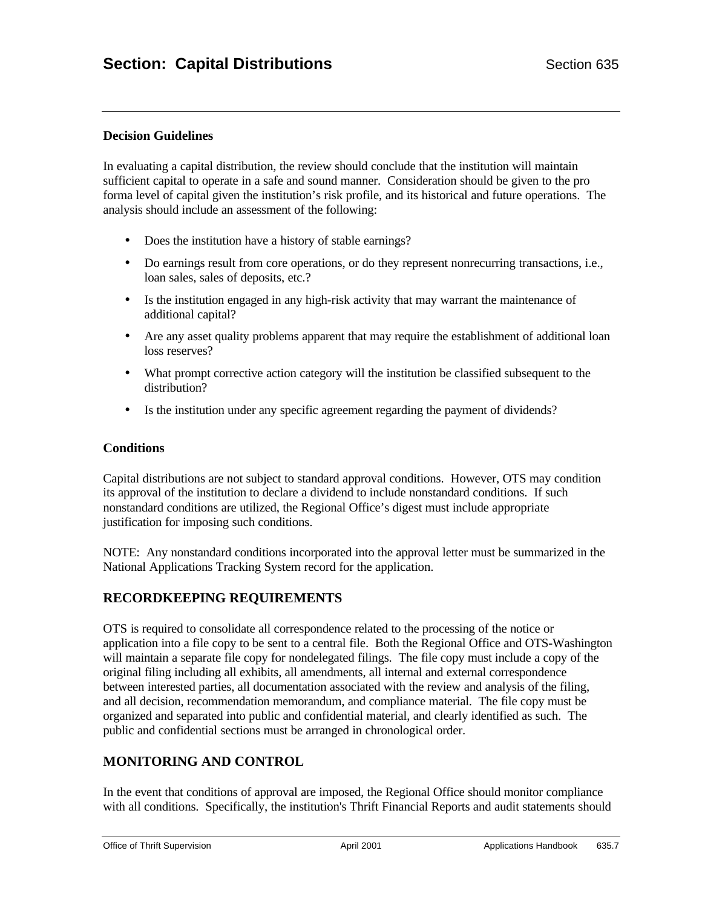## **Decision Guidelines**

In evaluating a capital distribution, the review should conclude that the institution will maintain sufficient capital to operate in a safe and sound manner. Consideration should be given to the pro forma level of capital given the institution's risk profile, and its historical and future operations. The analysis should include an assessment of the following:

- Does the institution have a history of stable earnings?
- Do earnings result from core operations, or do they represent nonrecurring transactions, i.e., loan sales, sales of deposits, etc.?
- Is the institution engaged in any high-risk activity that may warrant the maintenance of additional capital?
- Are any asset quality problems apparent that may require the establishment of additional loan loss reserves?
- What prompt corrective action category will the institution be classified subsequent to the distribution?
- Is the institution under any specific agreement regarding the payment of dividends?

### **Conditions**

Capital distributions are not subject to standard approval conditions. However, OTS may condition its approval of the institution to declare a dividend to include nonstandard conditions. If such nonstandard conditions are utilized, the Regional Office's digest must include appropriate justification for imposing such conditions.

NOTE: Any nonstandard conditions incorporated into the approval letter must be summarized in the National Applications Tracking System record for the application.

## **RECORDKEEPING REQUIREMENTS**

OTS is required to consolidate all correspondence related to the processing of the notice or application into a file copy to be sent to a central file. Both the Regional Office and OTS-Washington will maintain a separate file copy for nondelegated filings. The file copy must include a copy of the original filing including all exhibits, all amendments, all internal and external correspondence between interested parties, all documentation associated with the review and analysis of the filing, and all decision, recommendation memorandum, and compliance material. The file copy must be organized and separated into public and confidential material, and clearly identified as such. The public and confidential sections must be arranged in chronological order.

## **MONITORING AND CONTROL**

In the event that conditions of approval are imposed, the Regional Office should monitor compliance with all conditions. Specifically, the institution's Thrift Financial Reports and audit statements should